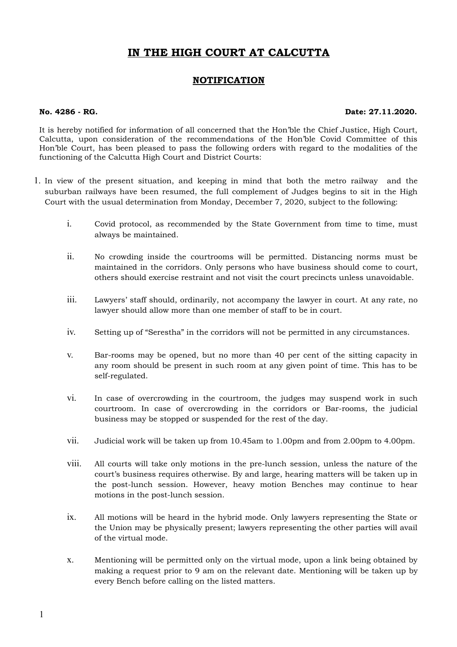## **IN THE HIGH COURT AT CALCUTTA**

## **NOTIFICATION**

## **No. 4286 - RG. Date: 27.11.2020.**

It is hereby notified for information of all concerned that the Hon'ble the Chief Justice, High Court, Calcutta, upon consideration of the recommendations of the Hon'ble Covid Committee of this Hon'ble Court, has been pleased to pass the following orders with regard to the modalities of the functioning of the Calcutta High Court and District Courts:

- 1. In view of the present situation, and keeping in mind that both the metro railway and the suburban railways have been resumed, the full complement of Judges begins to sit in the High Court with the usual determination from Monday, December 7, 2020, subject to the following:
	- i. Covid protocol, as recommended by the State Government from time to time, must always be maintained.
	- ii. No crowding inside the courtrooms will be permitted. Distancing norms must be maintained in the corridors. Only persons who have business should come to court, others should exercise restraint and not visit the court precincts unless unavoidable.
	- iii. Lawyers' staff should, ordinarily, not accompany the lawyer in court. At any rate, no lawyer should allow more than one member of staff to be in court.
	- iv. Setting up of "Serestha" in the corridors will not be permitted in any circumstances.
	- v. Bar-rooms may be opened, but no more than 40 per cent of the sitting capacity in any room should be present in such room at any given point of time. This has to be self-regulated.
	- vi. In case of overcrowding in the courtroom, the judges may suspend work in such courtroom. In case of overcrowding in the corridors or Bar-rooms, the judicial business may be stopped or suspended for the rest of the day.
	- vii. Judicial work will be taken up from 10.45am to 1.00pm and from 2.00pm to 4.00pm.
	- viii. All courts will take only motions in the pre-lunch session, unless the nature of the court's business requires otherwise. By and large, hearing matters will be taken up in the post-lunch session. However, heavy motion Benches may continue to hear motions in the post-lunch session.
	- ix. All motions will be heard in the hybrid mode. Only lawyers representing the State or the Union may be physically present; lawyers representing the other parties will avail of the virtual mode.
	- x. Mentioning will be permitted only on the virtual mode, upon a link being obtained by making a request prior to 9 am on the relevant date. Mentioning will be taken up by every Bench before calling on the listed matters.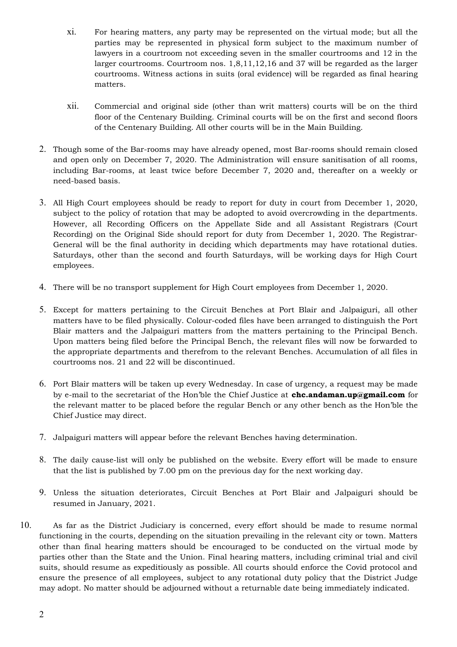- xi. For hearing matters, any party may be represented on the virtual mode; but all the parties may be represented in physical form subject to the maximum number of lawyers in a courtroom not exceeding seven in the smaller courtrooms and 12 in the larger courtrooms. Courtroom nos. 1,8,11,12,16 and 37 will be regarded as the larger courtrooms. Witness actions in suits (oral evidence) will be regarded as final hearing matters.
- xii. Commercial and original side (other than writ matters) courts will be on the third floor of the Centenary Building. Criminal courts will be on the first and second floors of the Centenary Building. All other courts will be in the Main Building.
- 2. Though some of the Bar-rooms may have already opened, most Bar-rooms should remain closed and open only on December 7, 2020. The Administration will ensure sanitisation of all rooms, including Bar-rooms, at least twice before December 7, 2020 and, thereafter on a weekly or need-based basis.
- 3. All High Court employees should be ready to report for duty in court from December 1, 2020, subject to the policy of rotation that may be adopted to avoid overcrowding in the departments. However, all Recording Officers on the Appellate Side and all Assistant Registrars (Court Recording) on the Original Side should report for duty from December 1, 2020. The Registrar-General will be the final authority in deciding which departments may have rotational duties. Saturdays, other than the second and fourth Saturdays, will be working days for High Court employees.
- 4. There will be no transport supplement for High Court employees from December 1, 2020.
- 5. Except for matters pertaining to the Circuit Benches at Port Blair and Jalpaiguri, all other matters have to be filed physically. Colour-coded files have been arranged to distinguish the Port Blair matters and the Jalpaiguri matters from the matters pertaining to the Principal Bench. Upon matters being filed before the Principal Bench, the relevant files will now be forwarded to the appropriate departments and therefrom to the relevant Benches. Accumulation of all files in courtrooms nos. 21 and 22 will be discontinued.
- 6. Port Blair matters will be taken up every Wednesday. In case of urgency, a request may be made by e-mail to the secretariat of the Hon'ble the Chief Justice at **chc.andaman.up@gmail.com** for the relevant matter to be placed before the regular Bench or any other bench as the Hon'ble the Chief Justice may direct.
- 7. Jalpaiguri matters will appear before the relevant Benches having determination.
- 8. The daily cause-list will only be published on the website. Every effort will be made to ensure that the list is published by 7.00 pm on the previous day for the next working day.
- 9. Unless the situation deteriorates, Circuit Benches at Port Blair and Jalpaiguri should be resumed in January, 2021.
- 10. As far as the District Judiciary is concerned, every effort should be made to resume normal functioning in the courts, depending on the situation prevailing in the relevant city or town. Matters other than final hearing matters should be encouraged to be conducted on the virtual mode by parties other than the State and the Union. Final hearing matters, including criminal trial and civil suits, should resume as expeditiously as possible. All courts should enforce the Covid protocol and ensure the presence of all employees, subject to any rotational duty policy that the District Judge may adopt. No matter should be adjourned without a returnable date being immediately indicated.